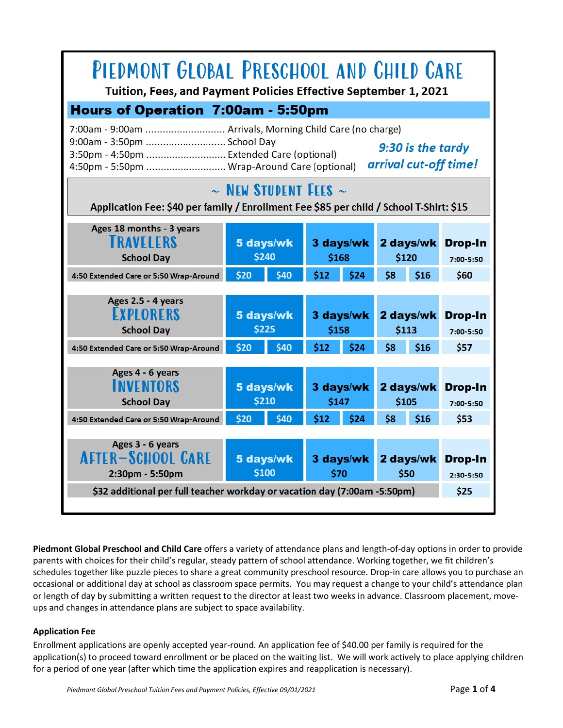

**Piedmont Global Preschool and Child Care** offers a variety of attendance plans and length-of-day options in order to provide parents with choices for their child's regular, steady pattern of school attendance. Working together, we fit children's schedules together like puzzle pieces to share a great community preschool resource. Drop-in care allows you to purchase an occasional or additional day at school as classroom space permits. You may request a change to your child's attendance plan or length of day by submitting a written request to the director at least two weeks in advance. Classroom placement, moveups and changes in attendance plans are subject to space availability.

## **Application Fee**

Enrollment applications are openly accepted year-round. An application fee of \$40.00 per family is required for the application(s) to proceed toward enrollment or be placed on the waiting list. We will work actively to place applying children for a period of one year (after which time the application expires and reapplication is necessary).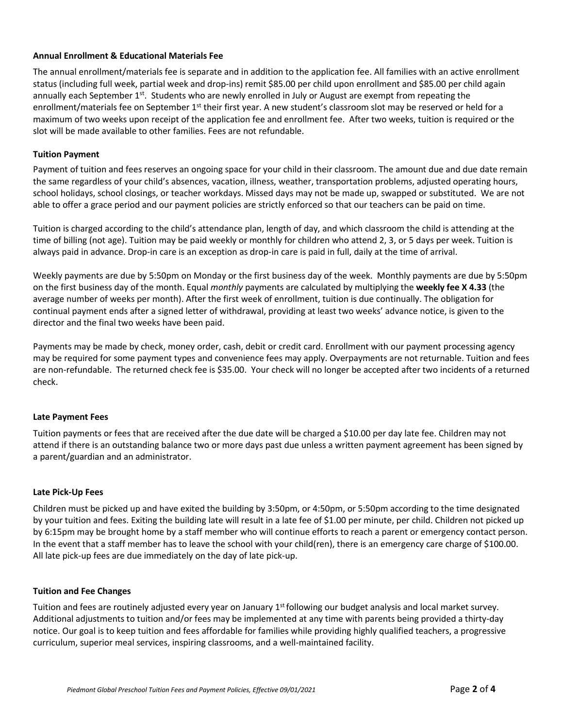## **Annual Enrollment & Educational Materials Fee**

The annual enrollment/materials fee is separate and in addition to the application fee. All families with an active enrollment status (including full week, partial week and drop-ins) remit \$85.00 per child upon enrollment and \$85.00 per child again annually each September 1<sup>st</sup>. Students who are newly enrolled in July or August are exempt from repeating the enrollment/materials fee on September 1<sup>st</sup> their first year. A new student's classroom slot may be reserved or held for a maximum of two weeks upon receipt of the application fee and enrollment fee. After two weeks, tuition is required or the slot will be made available to other families. Fees are not refundable.

## **Tuition Payment**

Payment of tuition and fees reserves an ongoing space for your child in their classroom. The amount due and due date remain the same regardless of your child's absences, vacation, illness, weather, transportation problems, adjusted operating hours, school holidays, school closings, or teacher workdays. Missed days may not be made up, swapped or substituted. We are not able to offer a grace period and our payment policies are strictly enforced so that our teachers can be paid on time.

Tuition is charged according to the child's attendance plan, length of day, and which classroom the child is attending at the time of billing (not age). Tuition may be paid weekly or monthly for children who attend 2, 3, or 5 days per week. Tuition is always paid in advance. Drop-in care is an exception as drop-in care is paid in full, daily at the time of arrival.

Weekly payments are due by 5:50pm on Monday or the first business day of the week. Monthly payments are due by 5:50pm on the first business day of the month. Equal *monthly* payments are calculated by multiplying the **weekly fee X 4.33** (the average number of weeks per month). After the first week of enrollment, tuition is due continually. The obligation for continual payment ends after a signed letter of withdrawal, providing at least two weeks' advance notice, is given to the director and the final two weeks have been paid.

Payments may be made by check, money order, cash, debit or credit card. Enrollment with our payment processing agency may be required for some payment types and convenience fees may apply. Overpayments are not returnable. Tuition and fees are non-refundable. The returned check fee is \$35.00. Your check will no longer be accepted after two incidents of a returned check.

### **Late Payment Fees**

Tuition payments or fees that are received after the due date will be charged a \$10.00 per day late fee. Children may not attend if there is an outstanding balance two or more days past due unless a written payment agreement has been signed by a parent/guardian and an administrator.

### **Late Pick-Up Fees**

Children must be picked up and have exited the building by 3:50pm, or 4:50pm, or 5:50pm according to the time designated by your tuition and fees. Exiting the building late will result in a late fee of \$1.00 per minute, per child. Children not picked up by 6:15pm may be brought home by a staff member who will continue efforts to reach a parent or emergency contact person. In the event that a staff member has to leave the school with your child(ren), there is an emergency care charge of \$100.00. All late pick-up fees are due immediately on the day of late pick-up.

### **Tuition and Fee Changes**

Tuition and fees are routinely adjusted every year on January 1<sup>st</sup> following our budget analysis and local market survey. Additional adjustments to tuition and/or fees may be implemented at any time with parents being provided a thirty-day notice. Our goal is to keep tuition and fees affordable for families while providing highly qualified teachers, a progressive curriculum, superior meal services, inspiring classrooms, and a well-maintained facility.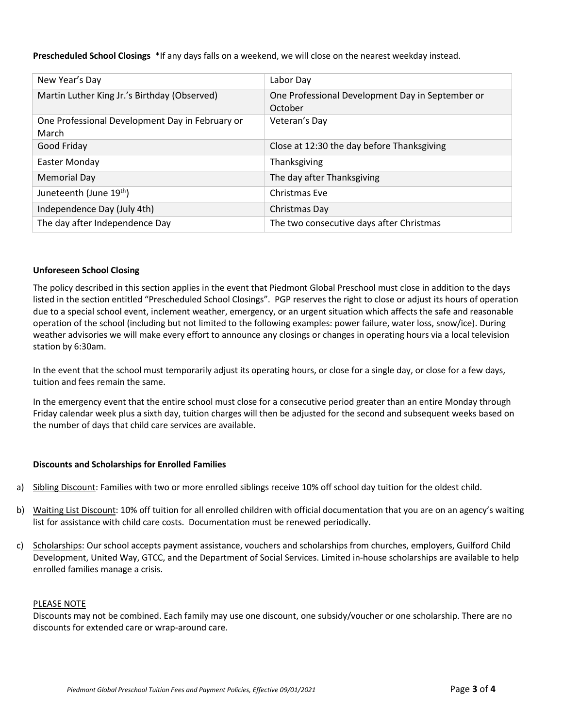**Prescheduled School Closings** \*If any days falls on a weekend, we will close on the nearest weekday instead.

| New Year's Day                                           | Labor Day                                                   |
|----------------------------------------------------------|-------------------------------------------------------------|
| Martin Luther King Jr.'s Birthday (Observed)             | One Professional Development Day in September or<br>October |
| One Professional Development Day in February or<br>March | Veteran's Day                                               |
| Good Friday                                              | Close at 12:30 the day before Thanksgiving                  |
| Easter Monday                                            | Thanksgiving                                                |
| Memorial Day                                             | The day after Thanksgiving                                  |
| Juneteenth (June 19 <sup>th</sup> )                      | Christmas Eve                                               |
| Independence Day (July 4th)                              | Christmas Day                                               |
| The day after Independence Day                           | The two consecutive days after Christmas                    |

#### **Unforeseen School Closing**

The policy described in this section applies in the event that Piedmont Global Preschool must close in addition to the days listed in the section entitled "Prescheduled School Closings". PGP reserves the right to close or adjust its hours of operation due to a special school event, inclement weather, emergency, or an urgent situation which affects the safe and reasonable operation of the school (including but not limited to the following examples: power failure, water loss, snow/ice). During weather advisories we will make every effort to announce any closings or changes in operating hours via a local television station by 6:30am.

In the event that the school must temporarily adjust its operating hours, or close for a single day, or close for a few days, tuition and fees remain the same.

In the emergency event that the entire school must close for a consecutive period greater than an entire Monday through Friday calendar week plus a sixth day, tuition charges will then be adjusted for the second and subsequent weeks based on the number of days that child care services are available.

#### **Discounts and Scholarships for Enrolled Families**

- a) Sibling Discount: Families with two or more enrolled siblings receive 10% off school day tuition for the oldest child.
- b) Waiting List Discount: 10% off tuition for all enrolled children with official documentation that you are on an agency's waiting list for assistance with child care costs. Documentation must be renewed periodically.
- c) Scholarships: Our school accepts payment assistance, vouchers and scholarships from churches, employers, Guilford Child Development, United Way, GTCC, and the Department of Social Services. Limited in-house scholarships are available to help enrolled families manage a crisis.

#### PLEASE NOTE

Discounts may not be combined. Each family may use one discount, one subsidy/voucher or one scholarship. There are no discounts for extended care or wrap-around care.